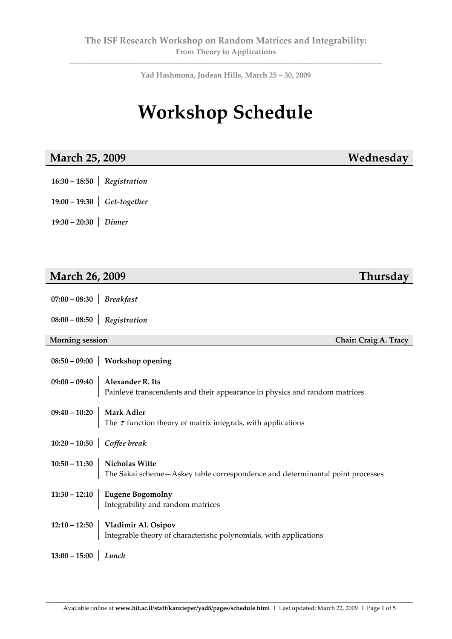**\_\_\_\_\_\_\_\_\_\_\_\_\_\_\_\_\_\_\_\_\_\_\_\_\_\_\_\_\_\_\_\_\_\_\_\_\_\_\_\_\_\_\_\_\_\_\_\_\_\_\_\_\_\_\_\_\_\_\_\_\_\_\_\_\_\_\_\_\_\_\_\_\_\_\_\_\_\_\_\_\_\_\_\_\_\_\_\_\_\_\_\_\_\_\_\_\_\_\_\_\_\_\_ Yad Hashmona, Judean Hills, March 25 – 30, 2009**

# **Workshop Schedule**

#### **March 25, 2009 Wednesday**

- **16:30 – 18:50** *Registration*
- **19:00 – 19:30**  *Get‐together*
- **19:30 – 20:30**  *Dinner*

### **March 26, 2009 Thursday**

- **07:00 – 08:30** *Breakfast*
- **08:00 – 08:50** *Registration*

#### **Morning session Chair: Craig A. Tracy**

|                                   | $08:50 - 09:00$ Workshop opening                                                                                 |
|-----------------------------------|------------------------------------------------------------------------------------------------------------------|
|                                   | $09:00 - 09:40$ Alexander R. Its<br>Painlevé transcendents and their appearance in physics and random matrices   |
|                                   | 09:40 – 10:20<br>Mark Adler<br>The $\tau$ function theory of matrix integrals, with applications                 |
| 10:20 – 10:50 <i>Coffee break</i> |                                                                                                                  |
|                                   | 10:50 – 11:30<br>Nicholas Witte<br>The Sakai scheme—Askey table correspondence and determinantal point processes |
|                                   | 11:30 – 12:10 Eugene Bogomolny<br>Integrability and random matrices                                              |
|                                   | 12:10 – 12:50 Vladimir Al. Osipov<br>Integrable theory of characteristic polynomials, with applications          |
| $13:00 - 15:00$ Lunch             |                                                                                                                  |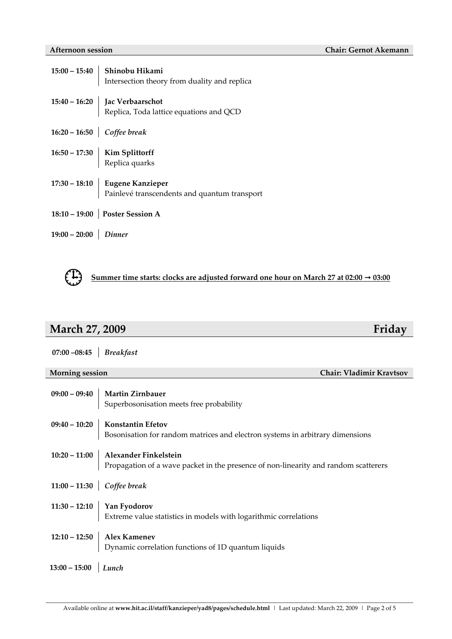|                        | 15:00 – 15:40 Shinobu Hikami<br>Intersection theory from duality and replica   |
|------------------------|--------------------------------------------------------------------------------|
|                        |                                                                                |
|                        | 15:40 – 16:20 Jac Verbaarschot<br>Replica, Toda lattice equations and QCD      |
|                        | 16:20 – 16:50 Coffee break                                                     |
|                        |                                                                                |
|                        | $16:50 - 17:30$ Kim Splittorff<br>Replica quarks                               |
|                        |                                                                                |
|                        | 17:30 – 18:10 Eugene Kanzieper<br>Painlevé transcendents and quantum transport |
|                        | 18:10 – 19:00 Poster Session A                                                 |
| $19:00 - 20:00$ Dinner |                                                                                |



## **March 27, 2009 Friday**

| $07:00 - 08:45$ Breakfast                          |                                                                                                        |
|----------------------------------------------------|--------------------------------------------------------------------------------------------------------|
|                                                    |                                                                                                        |
| <b>Morning session</b><br>Chair: Vladimir Kravtsov |                                                                                                        |
|                                                    |                                                                                                        |
|                                                    | $09:00 - 09:40$ Martin Zirnbauer                                                                       |
|                                                    | Superbosonisation meets free probability                                                               |
|                                                    |                                                                                                        |
|                                                    | $09:40 - 10:20$ Konstantin Efetov                                                                      |
|                                                    | Bosonisation for random matrices and electron systems in arbitrary dimensions                          |
|                                                    |                                                                                                        |
|                                                    | 10:20 - 11:00   Alexander Finkelstein                                                                  |
|                                                    | Propagation of a wave packet in the presence of non-linearity and random scatterers                    |
|                                                    |                                                                                                        |
| 11:00 – 11:30 <i>Coffee break</i>                  |                                                                                                        |
|                                                    |                                                                                                        |
|                                                    |                                                                                                        |
|                                                    | 11:30 – 12:10 $\Big $ Yan Fyodorov<br>Extreme value statistics in models with logarithmic correlations |
|                                                    |                                                                                                        |
|                                                    | 12:10 – 12:50   Alex Kamenev                                                                           |
|                                                    | Dynamic correlation functions of 1D quantum liquids                                                    |
|                                                    |                                                                                                        |
| $13:00 - 15:00$ <i>Lunch</i>                       |                                                                                                        |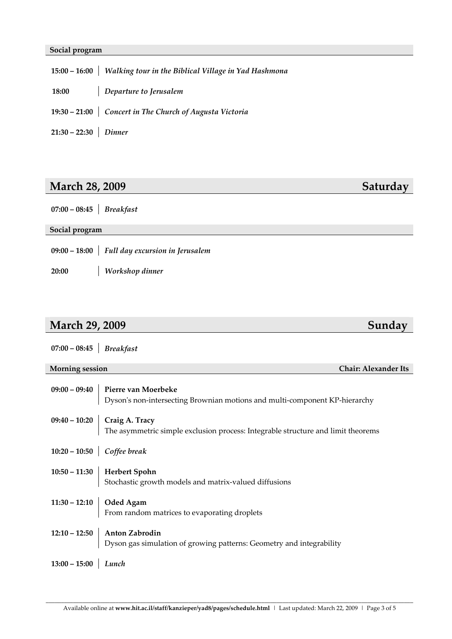#### **Social program**

|                        | 15:00 - 16:00   Walking tour in the Biblical Village in Yad Hashmona |
|------------------------|----------------------------------------------------------------------|
|                        | 18:00 Departure to Jerusalem                                         |
|                        | 19:30 - 21:00 Concert in The Church of Augusta Victoria              |
| $21:30 - 22:30$ Dinner |                                                                      |

## **March 28, 2009 Saturday**

| $07:00 - 08:45$ <i>Breakfast</i> |
|----------------------------------|
|                                  |

## **Social program 09:00 – 18:00** *Full day excursion in Jerusalem* **20:00 – 10:20** *Workshop dinner*

## **March 29, 2009 Sunday**

| $07:00 - 08:45$ Breakfast                             |                                                                                                                                                                                                                                                                                                                                                                                                                                                                                                                                                           |  |
|-------------------------------------------------------|-----------------------------------------------------------------------------------------------------------------------------------------------------------------------------------------------------------------------------------------------------------------------------------------------------------------------------------------------------------------------------------------------------------------------------------------------------------------------------------------------------------------------------------------------------------|--|
| <b>Morning session</b><br><b>Chair: Alexander Its</b> |                                                                                                                                                                                                                                                                                                                                                                                                                                                                                                                                                           |  |
|                                                       | $09:00-09:40$ Pierre van Moerbeke<br>Dyson's non-intersecting Brownian motions and multi-component KP-hierarchy                                                                                                                                                                                                                                                                                                                                                                                                                                           |  |
|                                                       | $09:40 - 10:20$ Craig A. Tracy<br>The asymmetric simple exclusion process: Integrable structure and limit theorems                                                                                                                                                                                                                                                                                                                                                                                                                                        |  |
|                                                       | 10:20 – 10:50 Coffee break                                                                                                                                                                                                                                                                                                                                                                                                                                                                                                                                |  |
|                                                       | $10:50-11:30 \left\vert \right. \left. \right. \left. \right. \left. \right. \left. \right. \left. \right. \left. \right. \left. \right. \left. \right. \left. \right. \left. \right. \left. \right. \left. \right. \right. \left. \right. \left. \right. \left. \right. \left. \right. \left. \right. \left. \right. \left. \right. \left. \right. \left. \right. \left. \right. \left. \right. \left. \right. \left. \right. \left. \right. \left. \right. \left. \right. \left. \right. \left. \right. \left. \right. \left. \right. \left. \right. \$ |  |
|                                                       | 11:30 – 12:10 $\Big $ Oded Agam<br>From random matrices to evaporating droplets                                                                                                                                                                                                                                                                                                                                                                                                                                                                           |  |
|                                                       | $12:10 - 12:50$ Anton Zabrodin<br>Dyson gas simulation of growing patterns: Geometry and integrability                                                                                                                                                                                                                                                                                                                                                                                                                                                    |  |
| $13:00 - 15:00$ Lunch                                 |                                                                                                                                                                                                                                                                                                                                                                                                                                                                                                                                                           |  |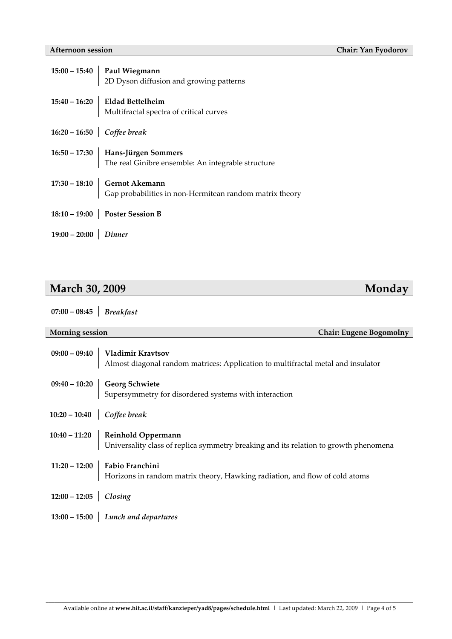|                            | 15:00 – 15:40 <b>Paul Wiegmann</b><br>2D Dyson diffusion and growing patterns                   |
|----------------------------|-------------------------------------------------------------------------------------------------|
|                            |                                                                                                 |
|                            | 15:40 – 16:20<br>Eldad Bettelheim<br>Multifractal spectra of critical curves                    |
| 16:20 – 16:50 Coffee break |                                                                                                 |
|                            | $16:50 - 17:30$ Hans-Jürgen Sommers<br>The real Ginibre ensemble: An integrable structure       |
|                            |                                                                                                 |
|                            |                                                                                                 |
|                            | 17:30 – 18:10 $\Big $ Gernot Akemann<br>Gap probabilities in non-Hermitean random matrix theory |
|                            | 18:10 - 19:00 Poster Session B                                                                  |
| $19:00 - 20:00$ Dinner     |                                                                                                 |

## **March 30, 2009 Monday**

**07:00 – 08:45** *Breakfast*

**Morning session Chair: Eugene Bogomolny**

|                                   | 09:00 - 09:40 Vladimir Kravtsov<br>Almost diagonal random matrices: Application to multifractal metal and insulator      |
|-----------------------------------|--------------------------------------------------------------------------------------------------------------------------|
|                                   | 09:40 – 10:20 Georg Schwiete<br>Supersymmetry for disordered systems with interaction                                    |
| 10:20 – 10:40 <i>Coffee break</i> |                                                                                                                          |
|                                   | 10:40 – 11:20 Reinhold Oppermann<br>Universality class of replica symmetry breaking and its relation to growth phenomena |
|                                   | 11:20 – 12:00 <b>Fabio Franchini</b><br>Horizons in random matrix theory, Hawking radiation, and flow of cold atoms      |
| $12:00 - 12:05$ <i>Closing</i>    |                                                                                                                          |
|                                   | $13:00 - 15:00$ Lunch and departures                                                                                     |